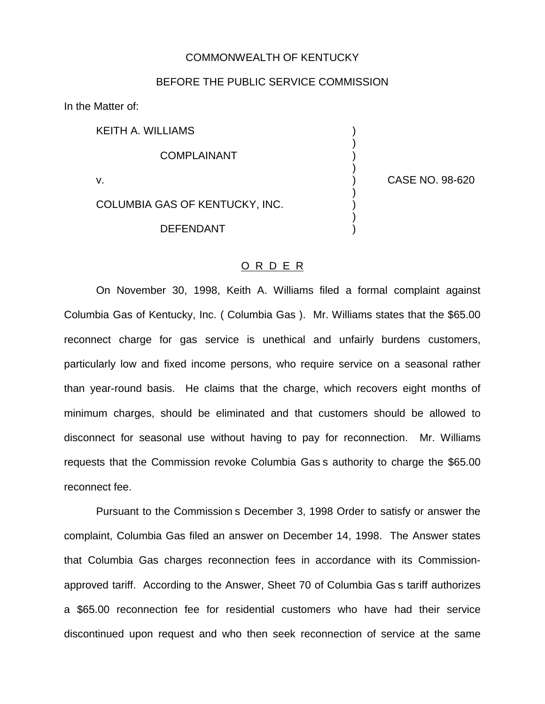## COMMONWEALTH OF KENTUCKY

## BEFORE THE PUBLIC SERVICE COMMISSION

In the Matter of:

KEITH A. WILLIAMS )

**COMPLAINANT** 

COLUMBIA GAS OF KENTUCKY, INC.

**DEFENDANT** 

v. ) CASE NO. 98-620

)

)

)

)

## O R D E R

On November 30, 1998, Keith A. Williams filed a formal complaint against Columbia Gas of Kentucky, Inc. ( Columbia Gas ). Mr. Williams states that the \$65.00 reconnect charge for gas service is unethical and unfairly burdens customers, particularly low and fixed income persons, who require service on a seasonal rather than year-round basis. He claims that the charge, which recovers eight months of minimum charges, should be eliminated and that customers should be allowed to disconnect for seasonal use without having to pay for reconnection. Mr. Williams requests that the Commission revoke Columbia Gas s authority to charge the \$65.00 reconnect fee.

Pursuant to the Commission s December 3, 1998 Order to satisfy or answer the complaint, Columbia Gas filed an answer on December 14, 1998. The Answer states that Columbia Gas charges reconnection fees in accordance with its Commissionapproved tariff. According to the Answer, Sheet 70 of Columbia Gas s tariff authorizes a \$65.00 reconnection fee for residential customers who have had their service discontinued upon request and who then seek reconnection of service at the same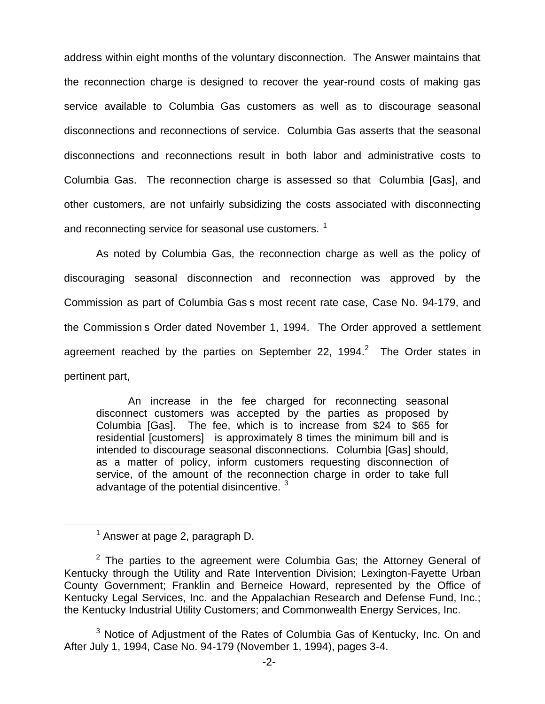address within eight months of the voluntary disconnection. The Answer maintains that the reconnection charge is designed to recover the year-round costs of making gas service available to Columbia Gas customers as well as to discourage seasonal disconnections and reconnections of service. Columbia Gas asserts that the seasonal disconnections and reconnections result in both labor and administrative costs to Columbia Gas. The reconnection charge is assessed so that Columbia [Gas], and other customers, are not unfairly subsidizing the costs associated with disconnecting and reconnecting service for seasonal use customers.<sup>1</sup>

As noted by Columbia Gas, the reconnection charge as well as the policy of discouraging seasonal disconnection and reconnection was approved by the Commission as part of Columbia Gas s most recent rate case, Case No. 94-179, and the Commission s Order dated November 1, 1994. The Order approved a settlement agreement reached by the parties on September 22, 1994. $^2$  The Order states in pertinent part,

An increase in the fee charged for reconnecting seasonal disconnect customers was accepted by the parties as proposed by Columbia [Gas]. The fee, which is to increase from \$24 to \$65 for residential [customers] is approximately 8 times the minimum bill and is intended to discourage seasonal disconnections. Columbia [Gas] should, as a matter of policy, inform customers requesting disconnection of service, of the amount of the reconnection charge in order to take full advantage of the potential disincentive.<sup>3</sup>

 $<sup>1</sup>$  Answer at page 2, paragraph D.</sup>

 $2$  The parties to the agreement were Columbia Gas; the Attorney General of Kentucky through the Utility and Rate Intervention Division; Lexington-Fayette Urban County Government; Franklin and Berneice Howard, represented by the Office of Kentucky Legal Services, Inc. and the Appalachian Research and Defense Fund, Inc.; the Kentucky Industrial Utility Customers; and Commonwealth Energy Services, Inc.

 $3$  Notice of Adjustment of the Rates of Columbia Gas of Kentucky, Inc. On and After July 1, 1994, Case No. 94-179 (November 1, 1994), pages 3-4.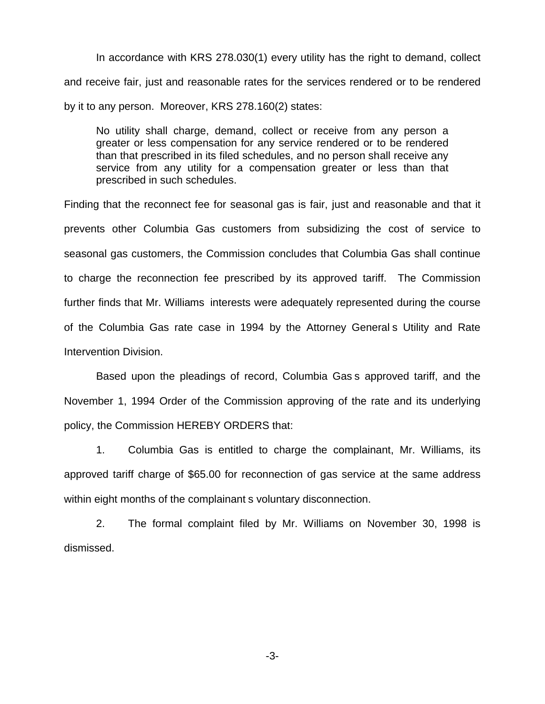In accordance with KRS 278.030(1) every utility has the right to demand, collect and receive fair, just and reasonable rates for the services rendered or to be rendered by it to any person. Moreover, KRS 278.160(2) states:

No utility shall charge, demand, collect or receive from any person a greater or less compensation for any service rendered or to be rendered than that prescribed in its filed schedules, and no person shall receive any service from any utility for a compensation greater or less than that prescribed in such schedules.

Finding that the reconnect fee for seasonal gas is fair, just and reasonable and that it prevents other Columbia Gas customers from subsidizing the cost of service to seasonal gas customers, the Commission concludes that Columbia Gas shall continue to charge the reconnection fee prescribed by its approved tariff. The Commission further finds that Mr. Williams interests were adequately represented during the course of the Columbia Gas rate case in 1994 by the Attorney General s Utility and Rate Intervention Division.

Based upon the pleadings of record, Columbia Gas s approved tariff, and the November 1, 1994 Order of the Commission approving of the rate and its underlying policy, the Commission HEREBY ORDERS that:

1. Columbia Gas is entitled to charge the complainant, Mr. Williams, its approved tariff charge of \$65.00 for reconnection of gas service at the same address within eight months of the complainant s voluntary disconnection.

2. The formal complaint filed by Mr. Williams on November 30, 1998 is dismissed.

-3-